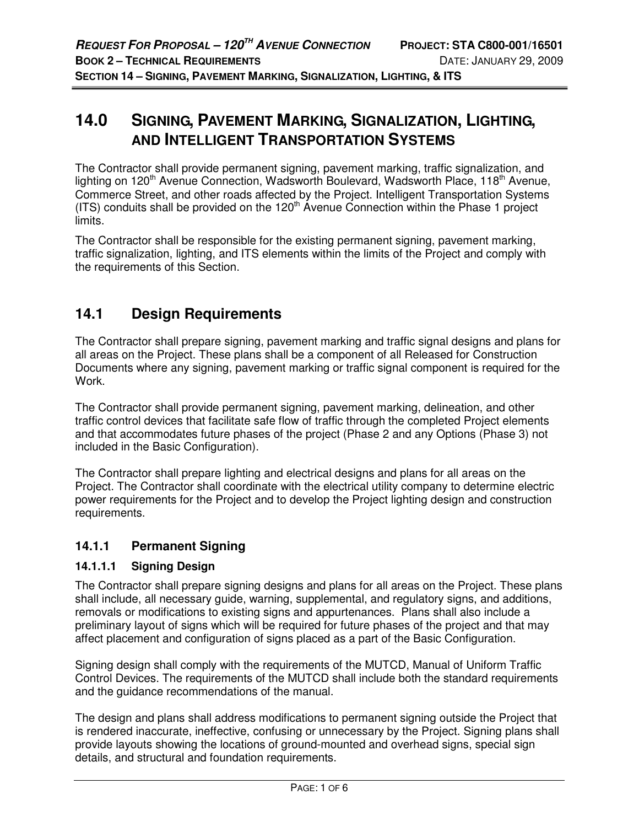# **14.0 SIGNING, PAVEMENT MARKING, SIGNALIZATION, LIGHTING, AND INTELLIGENT TRANSPORTATION SYSTEMS**

The Contractor shall provide permanent signing, pavement marking, traffic signalization, and lighting on 120<sup>th</sup> Avenue Connection, Wadsworth Boulevard, Wadsworth Place, 118<sup>th</sup> Avenue, Commerce Street, and other roads affected by the Project. Intelligent Transportation Systems  $(ITS)$  conduits shall be provided on the  $120<sup>th</sup>$  Avenue Connection within the Phase 1 project limits.

The Contractor shall be responsible for the existing permanent signing, pavement marking, traffic signalization, lighting, and ITS elements within the limits of the Project and comply with the requirements of this Section.

# **14.1 Design Requirements**

The Contractor shall prepare signing, pavement marking and traffic signal designs and plans for all areas on the Project. These plans shall be a component of all Released for Construction Documents where any signing, pavement marking or traffic signal component is required for the Work.

The Contractor shall provide permanent signing, pavement marking, delineation, and other traffic control devices that facilitate safe flow of traffic through the completed Project elements and that accommodates future phases of the project (Phase 2 and any Options (Phase 3) not included in the Basic Configuration).

The Contractor shall prepare lighting and electrical designs and plans for all areas on the Project. The Contractor shall coordinate with the electrical utility company to determine electric power requirements for the Project and to develop the Project lighting design and construction requirements.

# **14.1.1 Permanent Signing**

### **14.1.1.1 Signing Design**

The Contractor shall prepare signing designs and plans for all areas on the Project. These plans shall include, all necessary guide, warning, supplemental, and regulatory signs, and additions, removals or modifications to existing signs and appurtenances. Plans shall also include a preliminary layout of signs which will be required for future phases of the project and that may affect placement and configuration of signs placed as a part of the Basic Configuration.

Signing design shall comply with the requirements of the MUTCD, Manual of Uniform Traffic Control Devices. The requirements of the MUTCD shall include both the standard requirements and the guidance recommendations of the manual.

The design and plans shall address modifications to permanent signing outside the Project that is rendered inaccurate, ineffective, confusing or unnecessary by the Project. Signing plans shall provide layouts showing the locations of ground-mounted and overhead signs, special sign details, and structural and foundation requirements.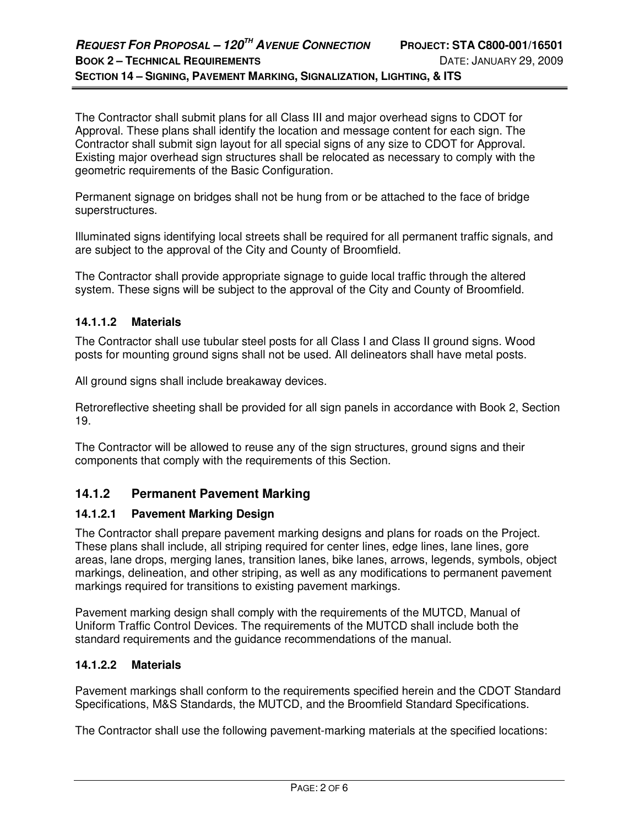The Contractor shall submit plans for all Class III and major overhead signs to CDOT for Approval. These plans shall identify the location and message content for each sign. The Contractor shall submit sign layout for all special signs of any size to CDOT for Approval. Existing major overhead sign structures shall be relocated as necessary to comply with the geometric requirements of the Basic Configuration.

Permanent signage on bridges shall not be hung from or be attached to the face of bridge superstructures.

Illuminated signs identifying local streets shall be required for all permanent traffic signals, and are subject to the approval of the City and County of Broomfield.

The Contractor shall provide appropriate signage to guide local traffic through the altered system. These signs will be subject to the approval of the City and County of Broomfield.

### **14.1.1.2 Materials**

The Contractor shall use tubular steel posts for all Class I and Class II ground signs. Wood posts for mounting ground signs shall not be used. All delineators shall have metal posts.

All ground signs shall include breakaway devices.

Retroreflective sheeting shall be provided for all sign panels in accordance with Book 2, Section 19.

The Contractor will be allowed to reuse any of the sign structures, ground signs and their components that comply with the requirements of this Section.

# **14.1.2 Permanent Pavement Marking**

#### **14.1.2.1 Pavement Marking Design**

The Contractor shall prepare pavement marking designs and plans for roads on the Project. These plans shall include, all striping required for center lines, edge lines, lane lines, gore areas, lane drops, merging lanes, transition lanes, bike lanes, arrows, legends, symbols, object markings, delineation, and other striping, as well as any modifications to permanent pavement markings required for transitions to existing pavement markings.

Pavement marking design shall comply with the requirements of the MUTCD, Manual of Uniform Traffic Control Devices. The requirements of the MUTCD shall include both the standard requirements and the guidance recommendations of the manual.

### **14.1.2.2 Materials**

Pavement markings shall conform to the requirements specified herein and the CDOT Standard Specifications, M&S Standards, the MUTCD, and the Broomfield Standard Specifications.

The Contractor shall use the following pavement-marking materials at the specified locations: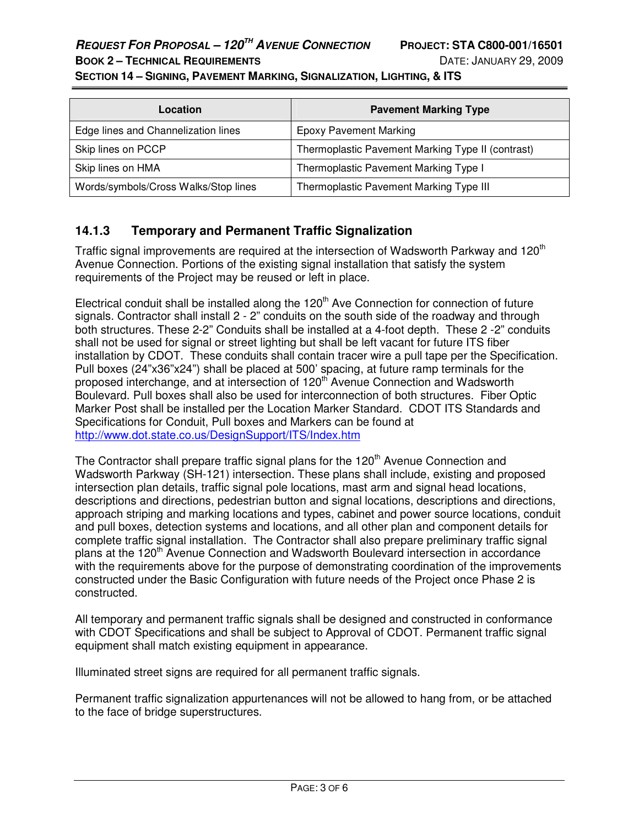# **REQUEST FOR PROPOSAL – 120TH AVENUE CONNECTION PROJECT: STA C800-001/16501**

**SECTION 14 – SIGNING, PAVEMENT MARKING, SIGNALIZATION, LIGHTING, & ITS** 

| Location                             | <b>Pavement Marking Type</b>                      |  |
|--------------------------------------|---------------------------------------------------|--|
| Edge lines and Channelization lines  | <b>Epoxy Pavement Marking</b>                     |  |
| Skip lines on PCCP                   | Thermoplastic Pavement Marking Type II (contrast) |  |
| Skip lines on HMA                    | Thermoplastic Pavement Marking Type I             |  |
| Words/symbols/Cross Walks/Stop lines | Thermoplastic Pavement Marking Type III           |  |

## **14.1.3 Temporary and Permanent Traffic Signalization**

Traffic signal improvements are required at the intersection of Wadsworth Parkway and 120<sup>th</sup> Avenue Connection. Portions of the existing signal installation that satisfy the system requirements of the Project may be reused or left in place.

Electrical conduit shall be installed along the  $120<sup>th</sup>$  Ave Connection for connection of future signals. Contractor shall install 2 - 2" conduits on the south side of the roadway and through both structures. These 2-2" Conduits shall be installed at a 4-foot depth. These 2 -2" conduits shall not be used for signal or street lighting but shall be left vacant for future ITS fiber installation by CDOT. These conduits shall contain tracer wire a pull tape per the Specification. Pull boxes (24"x36"x24") shall be placed at 500' spacing, at future ramp terminals for the proposed interchange, and at intersection of 120<sup>th</sup> Avenue Connection and Wadsworth Boulevard. Pull boxes shall also be used for interconnection of both structures. Fiber Optic Marker Post shall be installed per the Location Marker Standard. CDOT ITS Standards and Specifications for Conduit, Pull boxes and Markers can be found at http://www.dot.state.co.us/DesignSupport/ITS/Index.htm

The Contractor shall prepare traffic signal plans for the 120<sup>th</sup> Avenue Connection and Wadsworth Parkway (SH-121) intersection. These plans shall include, existing and proposed intersection plan details, traffic signal pole locations, mast arm and signal head locations, descriptions and directions, pedestrian button and signal locations, descriptions and directions, approach striping and marking locations and types, cabinet and power source locations, conduit and pull boxes, detection systems and locations, and all other plan and component details for complete traffic signal installation. The Contractor shall also prepare preliminary traffic signal plans at the 120<sup>th</sup> Avenue Connection and Wadsworth Boulevard intersection in accordance with the requirements above for the purpose of demonstrating coordination of the improvements constructed under the Basic Configuration with future needs of the Project once Phase 2 is constructed.

All temporary and permanent traffic signals shall be designed and constructed in conformance with CDOT Specifications and shall be subject to Approval of CDOT. Permanent traffic signal equipment shall match existing equipment in appearance.

Illuminated street signs are required for all permanent traffic signals.

Permanent traffic signalization appurtenances will not be allowed to hang from, or be attached to the face of bridge superstructures.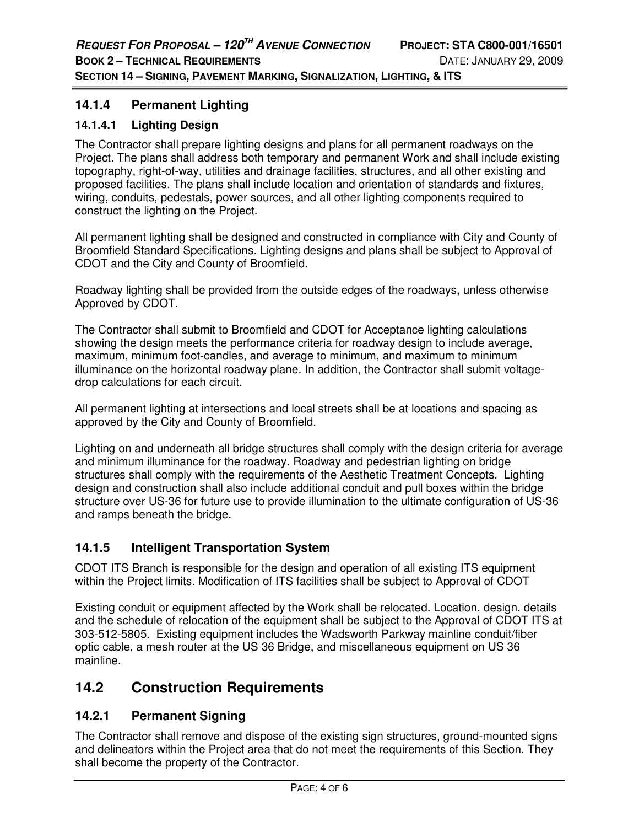## **14.1.4 Permanent Lighting**

### **14.1.4.1 Lighting Design**

The Contractor shall prepare lighting designs and plans for all permanent roadways on the Project. The plans shall address both temporary and permanent Work and shall include existing topography, right-of-way, utilities and drainage facilities, structures, and all other existing and proposed facilities. The plans shall include location and orientation of standards and fixtures, wiring, conduits, pedestals, power sources, and all other lighting components required to construct the lighting on the Project.

All permanent lighting shall be designed and constructed in compliance with City and County of Broomfield Standard Specifications. Lighting designs and plans shall be subject to Approval of CDOT and the City and County of Broomfield.

Roadway lighting shall be provided from the outside edges of the roadways, unless otherwise Approved by CDOT.

The Contractor shall submit to Broomfield and CDOT for Acceptance lighting calculations showing the design meets the performance criteria for roadway design to include average, maximum, minimum foot-candles, and average to minimum, and maximum to minimum illuminance on the horizontal roadway plane. In addition, the Contractor shall submit voltagedrop calculations for each circuit.

All permanent lighting at intersections and local streets shall be at locations and spacing as approved by the City and County of Broomfield.

Lighting on and underneath all bridge structures shall comply with the design criteria for average and minimum illuminance for the roadway. Roadway and pedestrian lighting on bridge structures shall comply with the requirements of the Aesthetic Treatment Concepts. Lighting design and construction shall also include additional conduit and pull boxes within the bridge structure over US-36 for future use to provide illumination to the ultimate configuration of US-36 and ramps beneath the bridge.

# **14.1.5 Intelligent Transportation System**

CDOT ITS Branch is responsible for the design and operation of all existing ITS equipment within the Project limits. Modification of ITS facilities shall be subject to Approval of CDOT

Existing conduit or equipment affected by the Work shall be relocated. Location, design, details and the schedule of relocation of the equipment shall be subject to the Approval of CDOT ITS at 303-512-5805. Existing equipment includes the Wadsworth Parkway mainline conduit/fiber optic cable, a mesh router at the US 36 Bridge, and miscellaneous equipment on US 36 mainline.

# **14.2 Construction Requirements**

# **14.2.1 Permanent Signing**

The Contractor shall remove and dispose of the existing sign structures, ground-mounted signs and delineators within the Project area that do not meet the requirements of this Section. They shall become the property of the Contractor.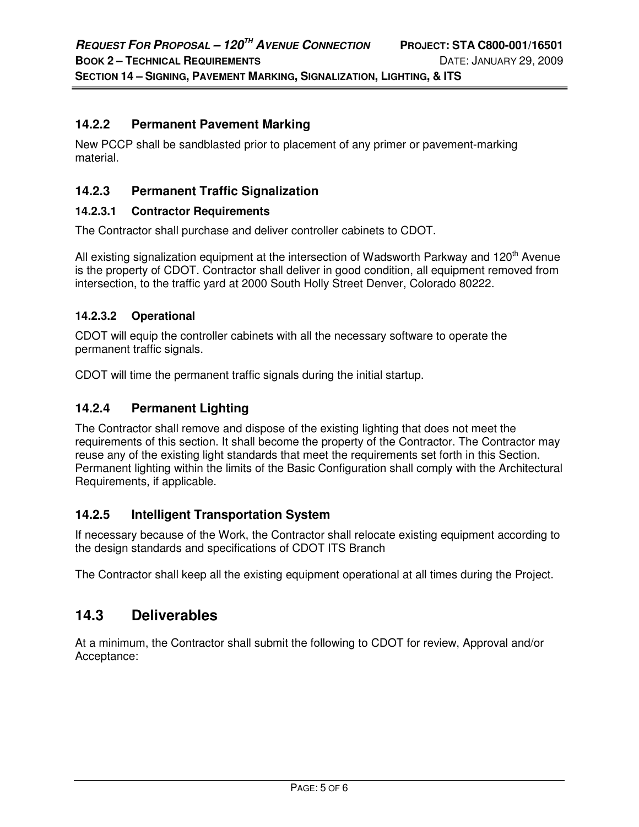## **14.2.2 Permanent Pavement Marking**

New PCCP shall be sandblasted prior to placement of any primer or pavement-marking material.

### **14.2.3 Permanent Traffic Signalization**

#### **14.2.3.1 Contractor Requirements**

The Contractor shall purchase and deliver controller cabinets to CDOT.

All existing signalization equipment at the intersection of Wadsworth Parkway and 120<sup>th</sup> Avenue is the property of CDOT. Contractor shall deliver in good condition, all equipment removed from intersection, to the traffic yard at 2000 South Holly Street Denver, Colorado 80222.

### **14.2.3.2 Operational**

CDOT will equip the controller cabinets with all the necessary software to operate the permanent traffic signals.

CDOT will time the permanent traffic signals during the initial startup.

### **14.2.4 Permanent Lighting**

The Contractor shall remove and dispose of the existing lighting that does not meet the requirements of this section. It shall become the property of the Contractor. The Contractor may reuse any of the existing light standards that meet the requirements set forth in this Section. Permanent lighting within the limits of the Basic Configuration shall comply with the Architectural Requirements, if applicable.

### **14.2.5 Intelligent Transportation System**

If necessary because of the Work, the Contractor shall relocate existing equipment according to the design standards and specifications of CDOT ITS Branch

The Contractor shall keep all the existing equipment operational at all times during the Project.

# **14.3 Deliverables**

At a minimum, the Contractor shall submit the following to CDOT for review, Approval and/or Acceptance: